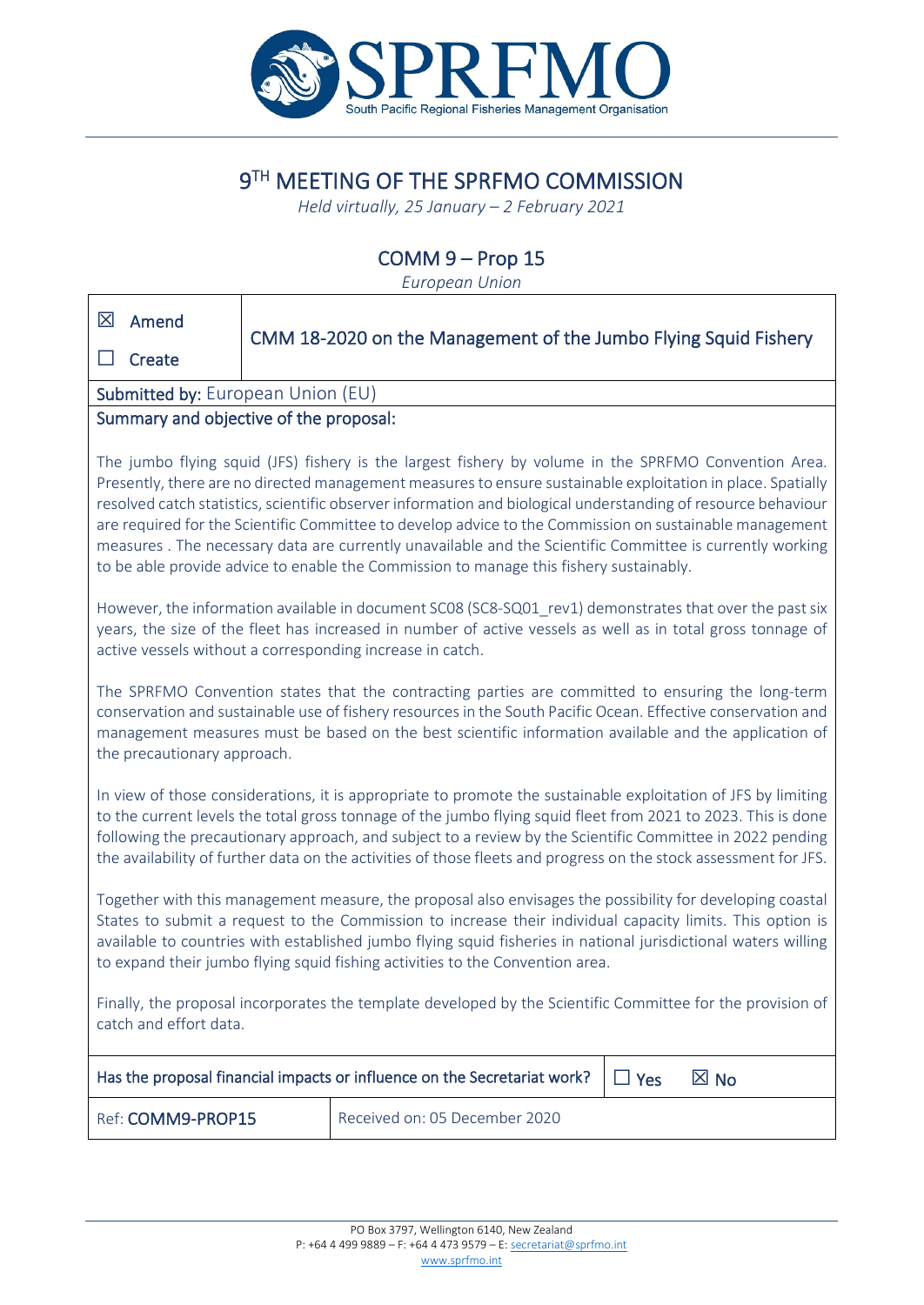

# 9TH MEETING OF THE SPRFMO COMMISSION

*Held virtually, 25 January – 2 February 2021*

# COMM 9 – Prop 15

*European Union*

 $\overline{\phantom{a}}$ 

| 区<br>Amend                                                                                                                                                                                                                                                                                                                                                                                                                                                                                                                                                                                                                                            | CMM 18-2020 on the Management of the Jumbo Flying Squid Fishery |
|-------------------------------------------------------------------------------------------------------------------------------------------------------------------------------------------------------------------------------------------------------------------------------------------------------------------------------------------------------------------------------------------------------------------------------------------------------------------------------------------------------------------------------------------------------------------------------------------------------------------------------------------------------|-----------------------------------------------------------------|
| Create                                                                                                                                                                                                                                                                                                                                                                                                                                                                                                                                                                                                                                                |                                                                 |
| Submitted by: European Union (EU)                                                                                                                                                                                                                                                                                                                                                                                                                                                                                                                                                                                                                     |                                                                 |
| Summary and objective of the proposal:                                                                                                                                                                                                                                                                                                                                                                                                                                                                                                                                                                                                                |                                                                 |
| The jumbo flying squid (JFS) fishery is the largest fishery by volume in the SPRFMO Convention Area.<br>Presently, there are no directed management measures to ensure sustainable exploitation in place. Spatially<br>resolved catch statistics, scientific observer information and biological understanding of resource behaviour<br>are required for the Scientific Committee to develop advice to the Commission on sustainable management<br>measures. The necessary data are currently unavailable and the Scientific Committee is currently working<br>to be able provide advice to enable the Commission to manage this fishery sustainably. |                                                                 |
| However, the information available in document SC08 (SC8-SQ01_rev1) demonstrates that over the past six<br>years, the size of the fleet has increased in number of active vessels as well as in total gross tonnage of<br>active vessels without a corresponding increase in catch.                                                                                                                                                                                                                                                                                                                                                                   |                                                                 |
| The SPRFMO Convention states that the contracting parties are committed to ensuring the long-term<br>conservation and sustainable use of fishery resources in the South Pacific Ocean. Effective conservation and<br>management measures must be based on the best scientific information available and the application of<br>the precautionary approach.                                                                                                                                                                                                                                                                                             |                                                                 |
| In view of those considerations, it is appropriate to promote the sustainable exploitation of JFS by limiting<br>to the current levels the total gross tonnage of the jumbo flying squid fleet from 2021 to 2023. This is done<br>following the precautionary approach, and subject to a review by the Scientific Committee in 2022 pending<br>the availability of further data on the activities of those fleets and progress on the stock assessment for JFS.                                                                                                                                                                                       |                                                                 |
| Together with this management measure, the proposal also envisages the possibility for developing coastal<br>States to submit a request to the Commission to increase their individual capacity limits. This option is<br>available to countries with established jumbo flying squid fisheries in national jurisdictional waters willing<br>to expand their jumbo flying squid fishing activities to the Convention area.                                                                                                                                                                                                                             |                                                                 |
| Finally, the proposal incorporates the template developed by the Scientific Committee for the provision of<br>catch and effort data.                                                                                                                                                                                                                                                                                                                                                                                                                                                                                                                  |                                                                 |
| Has the proposal financial impacts or influence on the Secretariat work?<br>$\boxtimes$ No<br>$\Box$ Yes                                                                                                                                                                                                                                                                                                                                                                                                                                                                                                                                              |                                                                 |
| Ref: COMM9-PROP15                                                                                                                                                                                                                                                                                                                                                                                                                                                                                                                                                                                                                                     | Received on: 05 December 2020                                   |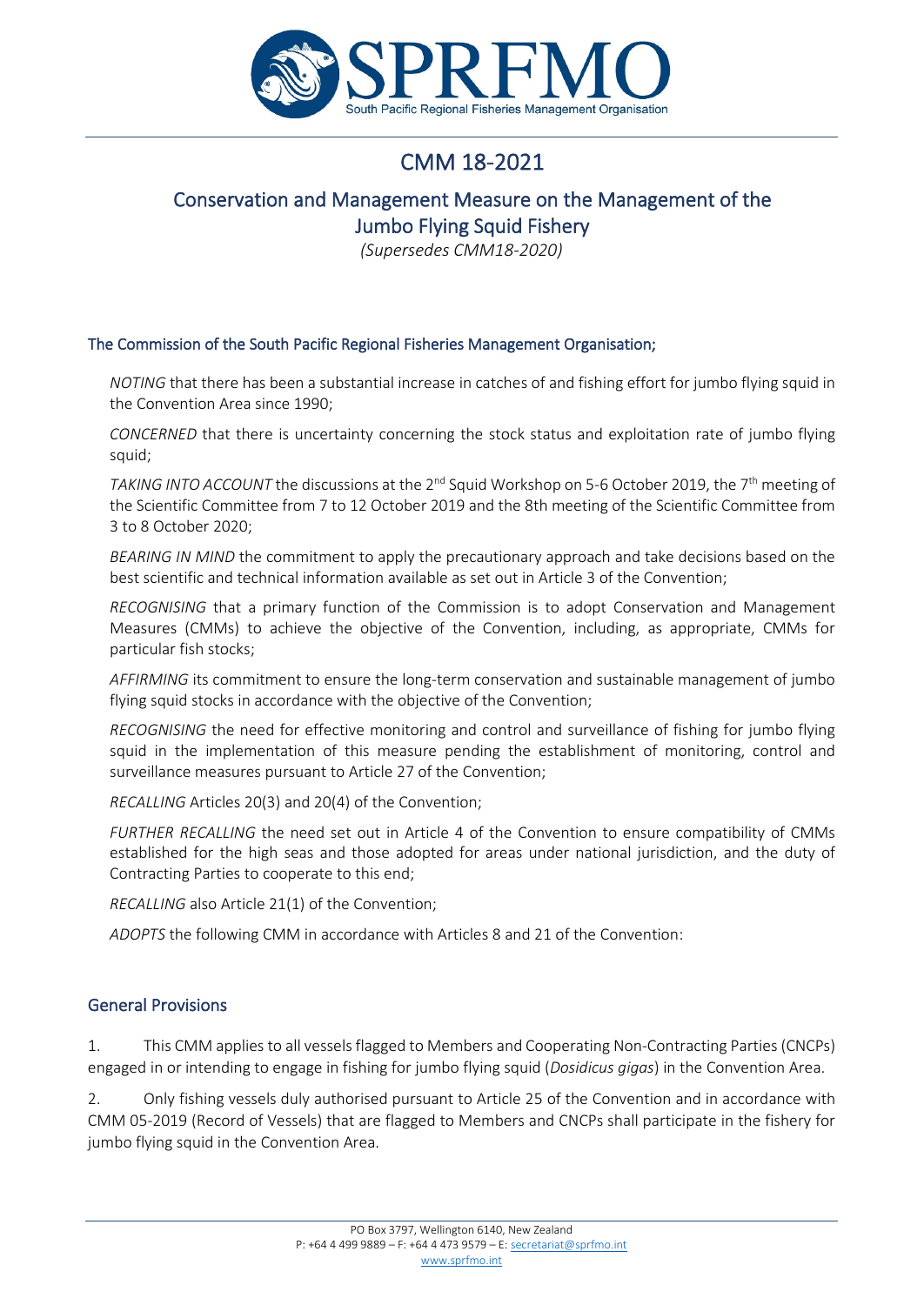

# CMM 18-2021

# Conservation and Management Measure on the Management of the Jumbo Flying Squid Fishery

*(Supersedes CMM18-2020)*

#### The Commission of the South Pacific Regional Fisheries Management Organisation;

*NOTING* that there has been a substantial increase in catches of and fishing effort for jumbo flying squid in the Convention Area since 1990;

*CONCERNED* that there is uncertainty concerning the stock status and exploitation rate of jumbo flying squid;

*TAKING INTO ACCOUNT* the discussions at the 2<sup>nd</sup> Squid Workshop on 5-6 October 2019, the 7<sup>th</sup> meeting of the Scientific Committee from 7 to 12 October 2019 and the 8th meeting of the Scientific Committee from 3 to 8 October 2020;

*BEARING IN MIND* the commitment to apply the precautionary approach and take decisions based on the best scientific and technical information available as set out in Article 3 of the Convention;

*RECOGNISING* that a primary function of the Commission is to adopt Conservation and Management Measures (CMMs) to achieve the objective of the Convention, including, as appropriate, CMMs for particular fish stocks;

*AFFIRMING* its commitment to ensure the long-term conservation and sustainable management of jumbo flying squid stocks in accordance with the objective of the Convention;

*RECOGNISING* the need for effective monitoring and control and surveillance of fishing for jumbo flying squid in the implementation of this measure pending the establishment of monitoring, control and surveillance measures pursuant to Article 27 of the Convention;

*RECALLING* Articles 20(3) and 20(4) of the Convention;

*FURTHER RECALLING* the need set out in Article 4 of the Convention to ensure compatibility of CMMs established for the high seas and those adopted for areas under national jurisdiction, and the duty of Contracting Parties to cooperate to this end;

*RECALLING* also Article 21(1) of the Convention;

*ADOPTS* the following CMM in accordance with Articles 8 and 21 of the Convention:

#### General Provisions

1. This CMM applies to all vessels flagged to Members and Cooperating Non-Contracting Parties (CNCPs) engaged in or intending to engage in fishing for jumbo flying squid (*Dosidicus gigas*) in the Convention Area.

2. Only fishing vessels duly authorised pursuant to Article 25 of the Convention and in accordance with CMM 05-2019 (Record of Vessels) that are flagged to Members and CNCPs shall participate in the fishery for jumbo flying squid in the Convention Area.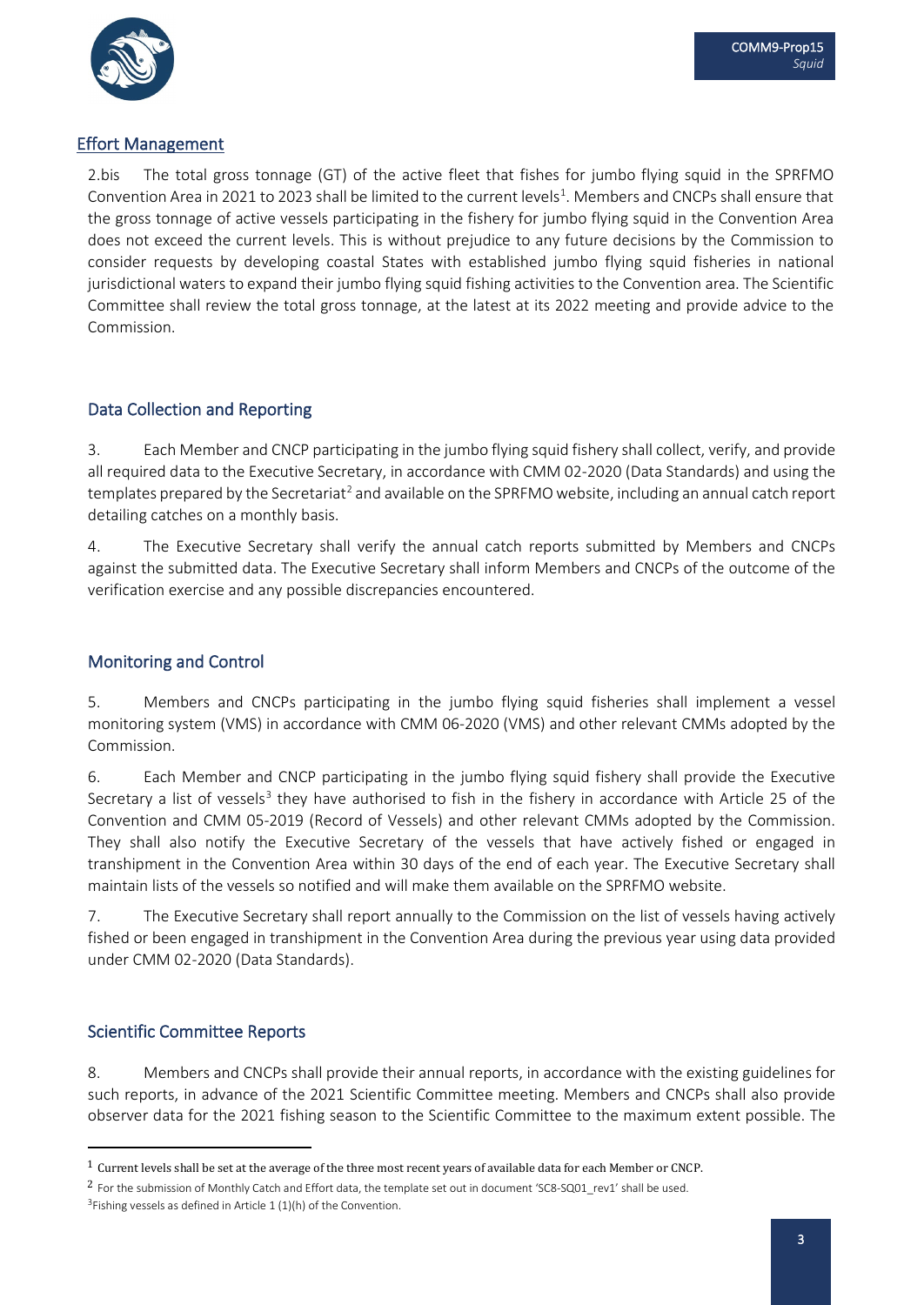

### Effort Management

2.bis The total gross tonnage (GT) of the active fleet that fishes for jumbo flying squid in the SPRFMO Convention Area in 2021 to 2023 shall be limited to the current levels<sup>1</sup>. Members and CNCPs shall ensure that the gross tonnage of active vessels participating in the fishery for jumbo flying squid in the Convention Area does not exceed the current levels. This is without prejudice to any future decisions by the Commission to consider requests by developing coastal States with established jumbo flying squid fisheries in national jurisdictional waters to expand their jumbo flying squid fishing activities to the Convention area. The Scientific Committee shall review the total gross tonnage, at the latest at its 2022 meeting and provide advice to the Commission.

## Data Collection and Reporting

3. Each Member and CNCP participating in the jumbo flying squid fishery shall collect, verify, and provide all required data to the Executive Secretary, in accordance with CMM 02-2020 (Data Standards) and using the templates prepared by the Secretariat<sup>[2](#page-2-1)</sup> and available on the SPRFMO website, including an annual catch report detailing catches on a monthly basis.

4. The Executive Secretary shall verify the annual catch reports submitted by Members and CNCPs against the submitted data. The Executive Secretary shall inform Members and CNCPs of the outcome of the verification exercise and any possible discrepancies encountered.

### Monitoring and Control

5. Members and CNCPs participating in the jumbo flying squid fisheries shall implement a vessel monitoring system (VMS) in accordance with CMM 06-2020 (VMS) and other relevant CMMs adopted by the Commission.

6. Each Member and CNCP participating in the jumbo flying squid fishery shall provide the Executive Secretary a list of vessels<sup>[3](#page-2-2)</sup> they have authorised to fish in the fishery in accordance with Article 25 of the Convention and CMM 05-2019 (Record of Vessels) and other relevant CMMs adopted by the Commission. They shall also notify the Executive Secretary of the vessels that have actively fished or engaged in transhipment in the Convention Area within 30 days of the end of each year. The Executive Secretary shall maintain lists of the vessels so notified and will make them available on the SPRFMO website.

7. The Executive Secretary shall report annually to the Commission on the list of vessels having actively fished or been engaged in transhipment in the Convention Area during the previous year using data provided under CMM 02-2020 (Data Standards).

## Scientific Committee Reports

8. Members and CNCPs shall provide their annual reports, in accordance with the existing guidelines for such reports, in advance of the 2021 Scientific Committee meeting. Members and CNCPs shall also provide observer data for the 2021 fishing season to the Scientific Committee to the maximum extent possible. The

<span id="page-2-0"></span><sup>1</sup> Current levels shall be set at the average of the three most recent years of available data for each Member or CNCP.

<span id="page-2-2"></span><span id="page-2-1"></span> $2$  For the submission of Monthly Catch and Effort data, the template set out in document 'SC8-SQ01 rev1' shall be used.  $3F$ ishing vessels as defined in Article 1 (1)(h) of the Convention.